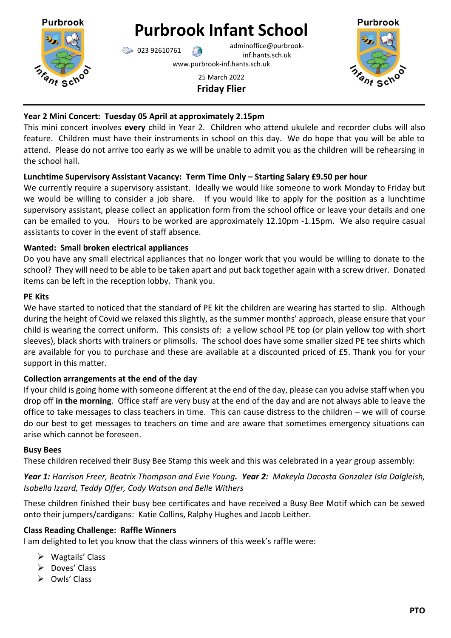

# **Purbrook Infant School**

023 92610761 adminoffice@purbrookinf.hants.sch.uk

www.purbrook-inf.hants.sch.uk

25 March 2022 **Friday Flier**



## **Year 2 Mini Concert: Tuesday 05 April at approximately 2.15pm**

This mini concert involves **every** child in Year 2. Children who attend ukulele and recorder clubs will also feature. Children must have their instruments in school on this day. We do hope that you will be able to attend. Please do not arrive too early as we will be unable to admit you as the children will be rehearsing in the school hall.

## **Lunchtime Supervisory Assistant Vacancy: Term Time Only – Starting Salary £9.50 per hour**

We currently require a supervisory assistant. Ideally we would like someone to work Monday to Friday but we would be willing to consider a job share. If you would like to apply for the position as a lunchtime supervisory assistant, please collect an application form from the school office or leave your details and one can be emailed to you. Hours to be worked are approximately 12.10pm -1.15pm. We also require casual assistants to cover in the event of staff absence.

## **Wanted: Small broken electrical appliances**

Do you have any small electrical appliances that no longer work that you would be willing to donate to the school? They will need to be able to be taken apart and put back together again with a screw driver. Donated items can be left in the reception lobby. Thank you.

#### **PE Kits**

We have started to noticed that the standard of PE kit the children are wearing has started to slip. Although during the height of Covid we relaxed this slightly, as the summer months' approach, please ensure that your child is wearing the correct uniform. This consists of: a yellow school PE top (or plain yellow top with short sleeves), black shorts with trainers or plimsolls. The school does have some smaller sized PE tee shirts which are available for you to purchase and these are available at a discounted priced of £5. Thank you for your support in this matter.

## **Collection arrangements at the end of the day**

If your child is going home with someone different at the end of the day, please can you advise staff when you drop off **in the morning**. Office staff are very busy at the end of the day and are not always able to leave the office to take messages to class teachers in time. This can cause distress to the children – we will of course do our best to get messages to teachers on time and are aware that sometimes emergency situations can arise which cannot be foreseen.

## **Busy Bees**

These children received their Busy Bee Stamp this week and this was celebrated in a year group assembly:

*Year 1: Harrison Freer, Beatrix Thompson and Evie Young. Year 2: Makeyla Dacosta Gonzalez Isla Dalgleish, Isabella Izzard, Teddy Offer, Cody Watson and Belle Withers*

These children finished their busy bee certificates and have received a Busy Bee Motif which can be sewed onto their jumpers/cardigans: Katie Collins, Ralphy Hughes and Jacob Leither.

## **Class Reading Challenge: Raffle Winners**

I am delighted to let you know that the class winners of this week's raffle were:

- $\triangleright$  Wagtails' Class
- Doves' Class
- $\triangleright$  Owls' Class